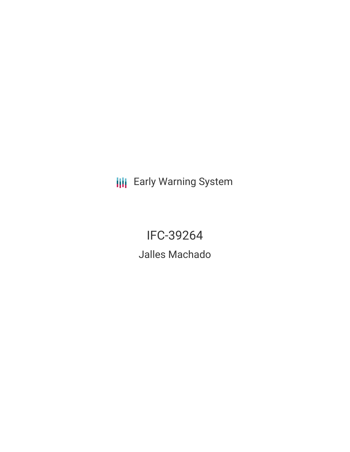**III** Early Warning System

IFC-39264 Jalles Machado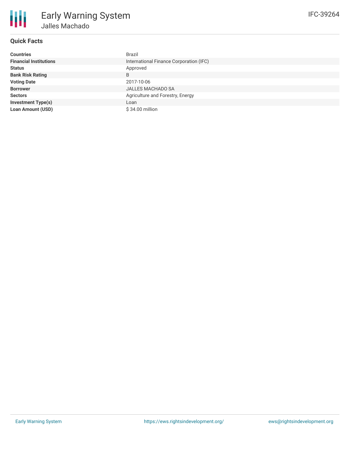

## **Quick Facts**

| <b>Countries</b>              | Brazil                                  |
|-------------------------------|-----------------------------------------|
| <b>Financial Institutions</b> | International Finance Corporation (IFC) |
| <b>Status</b>                 | Approved                                |
| <b>Bank Risk Rating</b>       | B                                       |
| <b>Voting Date</b>            | 2017-10-06                              |
| <b>Borrower</b>               | <b>JALLES MACHADO SA</b>                |
| <b>Sectors</b>                | Agriculture and Forestry, Energy        |
| <b>Investment Type(s)</b>     | Loan                                    |
| <b>Loan Amount (USD)</b>      | \$34.00 million                         |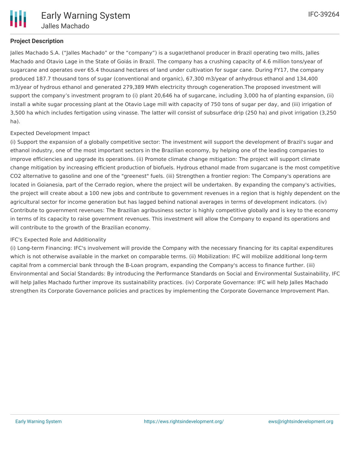

# **Project Description**

Jalles Machado S.A. ("Jalles Machado" or the "company") is a sugar/ethanol producer in Brazil operating two mills, Jalles Machado and Otavio Lage in the State of Goiás in Brazil. The company has a crushing capacity of 4.6 million tons/year of sugarcane and operates over 65.4 thousand hectares of land under cultivation for sugar cane. During FY17, the company produced 187.7 thousand tons of sugar (conventional and organic), 67,300 m3/year of anhydrous ethanol and 134,400 m3/year of hydrous ethanol and generated 279,389 MWh electricity through cogeneration.The proposed investment will support the company's investment program to (i) plant 20,646 ha of sugarcane, including 3,000 ha of planting expansion, (ii) install a white sugar processing plant at the Otavio Lage mill with capacity of 750 tons of sugar per day, and (iii) irrigation of 3,500 ha which includes fertigation using vinasse. The latter will consist of subsurface drip (250 ha) and pivot irrigation (3,250 ha).

# Expected Development Impact

(i) Support the expansion of a globally competitive sector: The investment will support the development of Brazil's sugar and ethanol industry, one of the most important sectors in the Brazilian economy, by helping one of the leading companies to improve efficiencies and upgrade its operations. (ii) Promote climate change mitigation: The project will support climate change mitigation by increasing efficient production of biofuels. Hydrous ethanol made from sugarcane is the most competitive CO2 alternative to gasoline and one of the "greenest" fuels. (iii) Strengthen a frontier region: The Company's operations are located in Goianesia, part of the Cerrado region, where the project will be undertaken. By expanding the company's activities, the project will create about a 100 new jobs and contribute to government revenues in a region that is highly dependent on the agricultural sector for income generation but has lagged behind national averages in terms of development indicators. (iv) Contribute to government revenues: The Brazilian agribusiness sector is highly competitive globally and is key to the economy in terms of its capacity to raise government revenues. This investment will allow the Company to expand its operations and will contribute to the growth of the Brazilian economy.

## IFC's Expected Role and Additionality

(i) Long-term Financing: IFC's involvement will provide the Company with the necessary financing for its capital expenditures which is not otherwise available in the market on comparable terms. (ii) Mobilization: IFC will mobilize additional long-term capital from a commercial bank through the B-Loan program, expanding the Company's access to finance further. (iii) Environmental and Social Standards: By introducing the Performance Standards on Social and Environmental Sustainability, IFC will help Jalles Machado further improve its sustainability practices. (iv) Corporate Governance: IFC will help Jalles Machado strengthen its Corporate Governance policies and practices by implementing the Corporate Governance Improvement Plan.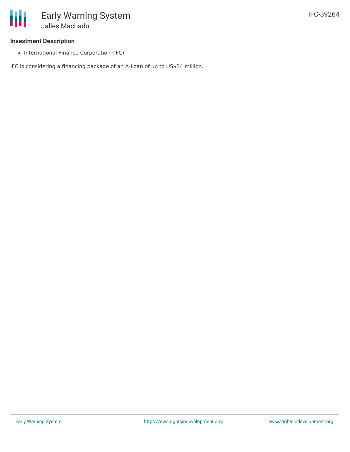

### **Investment Description**

• International Finance Corporation (IFC)

IFC is considering a financing package of an A-Loan of up to US\$34 million.